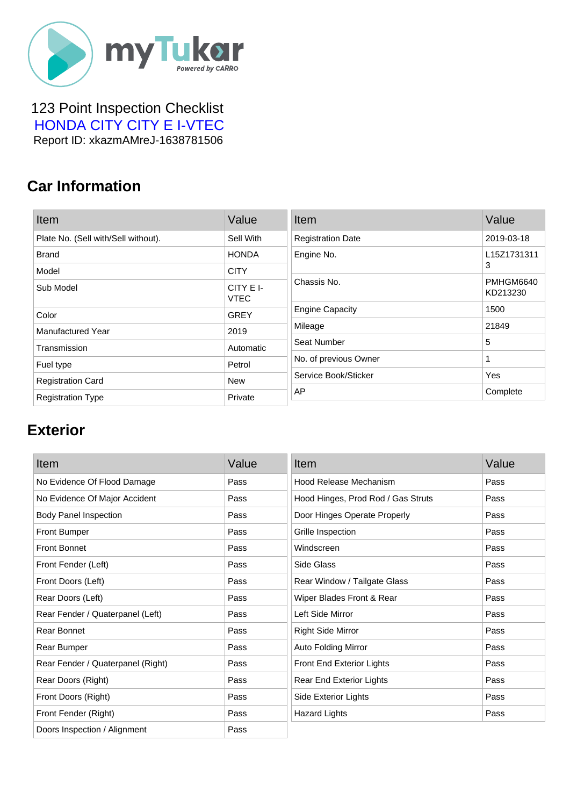

#### 123 Point Inspection Checklist  [HONDA CITY CITY E I-VTEC](https://mytukar.com/q/G3Y5OK) Report ID: xkazmAMreJ-1638781506

### **Car Information**

| Item                                | Value                    | Item                     | Value                 |
|-------------------------------------|--------------------------|--------------------------|-----------------------|
| Plate No. (Sell with/Sell without). | Sell With                | <b>Registration Date</b> | 2019-03-18            |
| <b>Brand</b>                        | <b>HONDA</b>             | Engine No.               | L15Z1731311           |
| Model                               | <b>CITY</b>              |                          | 3                     |
| Sub Model                           | CITY E I-<br><b>VTEC</b> | Chassis No.              | PMHGM6640<br>KD213230 |
| Color                               | <b>GREY</b>              | <b>Engine Capacity</b>   | 1500                  |
| Manufactured Year                   | 2019                     | Mileage                  | 21849                 |
| Transmission                        | Automatic                | Seat Number              | 5                     |
| Fuel type                           | Petrol                   | No. of previous Owner    |                       |
| <b>Registration Card</b>            | New                      | Service Book/Sticker     | Yes                   |
| <b>Registration Type</b>            | Private                  | AP                       | Complete              |

### **Exterior**

| Item                              | Value | Item                               | Value |
|-----------------------------------|-------|------------------------------------|-------|
| No Evidence Of Flood Damage       | Pass  | Hood Release Mechanism             | Pass  |
| No Evidence Of Major Accident     | Pass  | Hood Hinges, Prod Rod / Gas Struts | Pass  |
| <b>Body Panel Inspection</b>      | Pass  | Door Hinges Operate Properly       | Pass  |
| <b>Front Bumper</b>               | Pass  | Grille Inspection                  | Pass  |
| <b>Front Bonnet</b>               | Pass  | Windscreen                         | Pass  |
| Front Fender (Left)               | Pass  | Side Glass                         | Pass  |
| Front Doors (Left)                | Pass  | Rear Window / Tailgate Glass       | Pass  |
| Rear Doors (Left)                 | Pass  | Wiper Blades Front & Rear          | Pass  |
| Rear Fender / Quaterpanel (Left)  | Pass  | Left Side Mirror                   | Pass  |
| Rear Bonnet                       | Pass  | <b>Right Side Mirror</b>           | Pass  |
| Rear Bumper                       | Pass  | <b>Auto Folding Mirror</b>         | Pass  |
| Rear Fender / Quaterpanel (Right) | Pass  | Front End Exterior Lights          | Pass  |
| Rear Doors (Right)                | Pass  | Rear End Exterior Lights           | Pass  |
| Front Doors (Right)               | Pass  | Side Exterior Lights               | Pass  |
| Front Fender (Right)              | Pass  | <b>Hazard Lights</b>               | Pass  |
| Doors Inspection / Alignment      | Pass  |                                    |       |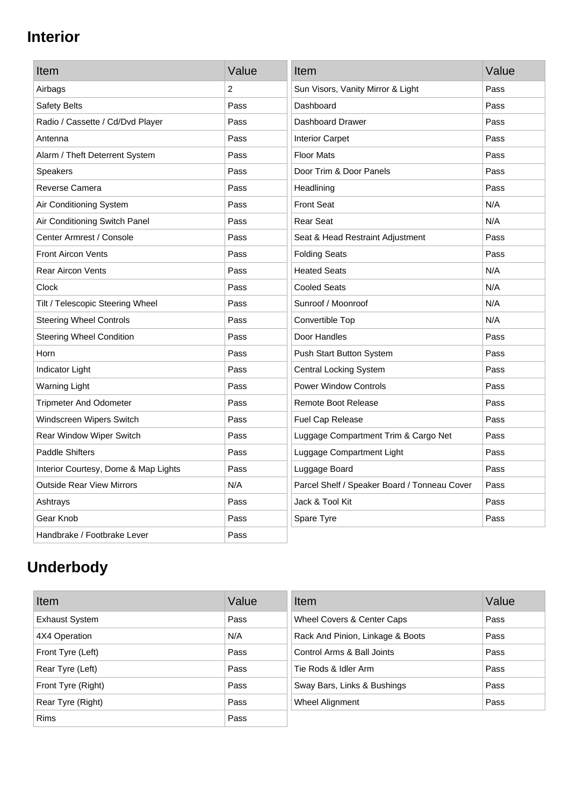# **Interior**

| Item                                 | Value | Item                                         | Value |
|--------------------------------------|-------|----------------------------------------------|-------|
| Airbags                              | 2     | Sun Visors, Vanity Mirror & Light            | Pass  |
| Safety Belts                         | Pass  | Dashboard                                    | Pass  |
| Radio / Cassette / Cd/Dvd Player     | Pass  | Dashboard Drawer                             | Pass  |
| Antenna                              | Pass  | <b>Interior Carpet</b>                       | Pass  |
| Alarm / Theft Deterrent System       | Pass  | <b>Floor Mats</b>                            | Pass  |
| <b>Speakers</b>                      | Pass  | Door Trim & Door Panels                      | Pass  |
| Reverse Camera                       | Pass  | Headlining                                   | Pass  |
| Air Conditioning System              | Pass  | <b>Front Seat</b>                            | N/A   |
| Air Conditioning Switch Panel        | Pass  | <b>Rear Seat</b>                             | N/A   |
| Center Armrest / Console             | Pass  | Seat & Head Restraint Adjustment             | Pass  |
| <b>Front Aircon Vents</b>            | Pass  | <b>Folding Seats</b>                         | Pass  |
| <b>Rear Aircon Vents</b>             | Pass  | <b>Heated Seats</b>                          | N/A   |
| Clock                                | Pass  | <b>Cooled Seats</b>                          | N/A   |
| Tilt / Telescopic Steering Wheel     | Pass  | Sunroof / Moonroof                           | N/A   |
| <b>Steering Wheel Controls</b>       | Pass  | Convertible Top                              | N/A   |
| <b>Steering Wheel Condition</b>      | Pass  | Door Handles                                 | Pass  |
| Horn                                 | Pass  | Push Start Button System                     | Pass  |
| Indicator Light                      | Pass  | <b>Central Locking System</b>                | Pass  |
| <b>Warning Light</b>                 | Pass  | <b>Power Window Controls</b>                 | Pass  |
| <b>Tripmeter And Odometer</b>        | Pass  | <b>Remote Boot Release</b>                   | Pass  |
| Windscreen Wipers Switch             | Pass  | Fuel Cap Release                             | Pass  |
| Rear Window Wiper Switch             | Pass  | Luggage Compartment Trim & Cargo Net         | Pass  |
| <b>Paddle Shifters</b>               | Pass  | Luggage Compartment Light                    | Pass  |
| Interior Courtesy, Dome & Map Lights | Pass  | Luggage Board                                | Pass  |
| <b>Outside Rear View Mirrors</b>     | N/A   | Parcel Shelf / Speaker Board / Tonneau Cover | Pass  |
| Ashtrays                             | Pass  | Jack & Tool Kit                              | Pass  |
| Gear Knob                            | Pass  | Spare Tyre                                   | Pass  |
| Handbrake / Footbrake Lever          | Pass  |                                              |       |

# **Underbody**

| Item                  | Value | Item                             | Value |
|-----------------------|-------|----------------------------------|-------|
| <b>Exhaust System</b> | Pass  | Wheel Covers & Center Caps       | Pass  |
| 4X4 Operation         | N/A   | Rack And Pinion, Linkage & Boots | Pass  |
| Front Tyre (Left)     | Pass  | Control Arms & Ball Joints       | Pass  |
| Rear Tyre (Left)      | Pass  | Tie Rods & Idler Arm             | Pass  |
| Front Tyre (Right)    | Pass  | Sway Bars, Links & Bushings      | Pass  |
| Rear Tyre (Right)     | Pass  | Wheel Alignment                  | Pass  |
| <b>Rims</b>           | Pass  |                                  |       |